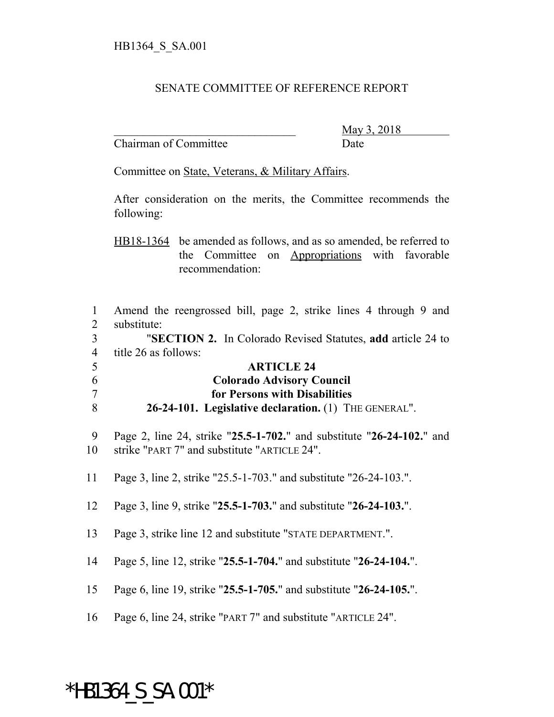## SENATE COMMITTEE OF REFERENCE REPORT

Chairman of Committee Date

\_\_\_\_\_\_\_\_\_\_\_\_\_\_\_\_\_\_\_\_\_\_\_\_\_\_\_\_\_\_\_ May 3, 2018

Committee on State, Veterans, & Military Affairs.

After consideration on the merits, the Committee recommends the following:

HB18-1364 be amended as follows, and as so amended, be referred to the Committee on Appropriations with favorable recommendation:

| 1              | Amend the reengrossed bill, page 2, strike lines 4 through 9 and      |
|----------------|-----------------------------------------------------------------------|
| $\overline{2}$ | substitute:                                                           |
| $\overline{3}$ | "SECTION 2. In Colorado Revised Statutes, add article 24 to           |
| $\overline{4}$ | title 26 as follows:                                                  |
| 5              | <b>ARTICLE 24</b>                                                     |
| 6              | <b>Colorado Advisory Council</b>                                      |
| $\overline{7}$ | for Persons with Disabilities                                         |
| 8              | 26-24-101. Legislative declaration. (1) THE GENERAL".                 |
| 9              | Page 2, line 24, strike "25.5-1-702." and substitute "26-24-102." and |
| 10             | strike "PART 7" and substitute "ARTICLE 24".                          |
| 11             | Page 3, line 2, strike "25.5-1-703." and substitute "26-24-103.".     |
| 12             | Page 3, line 9, strike "25.5-1-703." and substitute "26-24-103.".     |
| 13             | Page 3, strike line 12 and substitute "STATE DEPARTMENT.".            |
| 14             | Page 5, line 12, strike "25.5-1-704." and substitute "26-24-104.".    |
| 15             | Page 6, line 19, strike "25.5-1-705." and substitute "26-24-105.".    |
| 16             | Page 6, line 24, strike "PART 7" and substitute "ARTICLE 24".         |

## \*HB1364\_S\_SA.001\*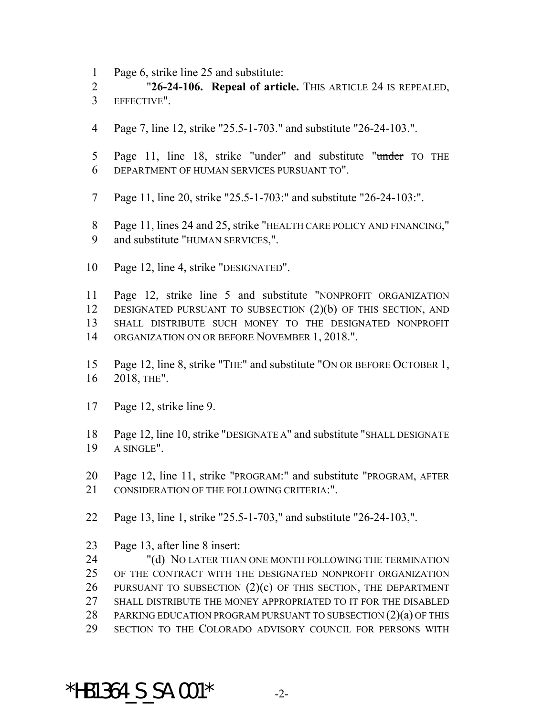Page 6, strike line 25 and substitute:

 "**26-24-106. Repeal of article.** THIS ARTICLE 24 IS REPEALED, EFFECTIVE".

- Page 7, line 12, strike "25.5-1-703." and substitute "26-24-103.".
- 5 Page 11, line 18, strike "under" and substitute "under TO THE DEPARTMENT OF HUMAN SERVICES PURSUANT TO".
- Page 11, line 20, strike "25.5-1-703:" and substitute "26-24-103:".
- Page 11, lines 24 and 25, strike "HEALTH CARE POLICY AND FINANCING," and substitute "HUMAN SERVICES,".
- Page 12, line 4, strike "DESIGNATED".

 Page 12, strike line 5 and substitute "NONPROFIT ORGANIZATION DESIGNATED PURSUANT TO SUBSECTION (2)(b) OF THIS SECTION, AND SHALL DISTRIBUTE SUCH MONEY TO THE DESIGNATED NONPROFIT 14 ORGANIZATION ON OR BEFORE NOVEMBER 1, 2018.".

- Page 12, line 8, strike "THE" and substitute "ON OR BEFORE OCTOBER 1, 2018, THE".
- Page 12, strike line 9.
- Page 12, line 10, strike "DESIGNATE A" and substitute "SHALL DESIGNATE A SINGLE".
- Page 12, line 11, strike "PROGRAM:" and substitute "PROGRAM, AFTER 21 CONSIDERATION OF THE FOLLOWING CRITERIA:".
- Page 13, line 1, strike "25.5-1-703," and substitute "26-24-103,".
- Page 13, after line 8 insert:

 "(d) NO LATER THAN ONE MONTH FOLLOWING THE TERMINATION OF THE CONTRACT WITH THE DESIGNATED NONPROFIT ORGANIZATION PURSUANT TO SUBSECTION (2)(c) OF THIS SECTION, THE DEPARTMENT SHALL DISTRIBUTE THE MONEY APPROPRIATED TO IT FOR THE DISABLED 28 PARKING EDUCATION PROGRAM PURSUANT TO SUBSECTION (2)(a) OF THIS SECTION TO THE COLORADO ADVISORY COUNCIL FOR PERSONS WITH

## \*HB1364 S SA.001\*  $-2$ -